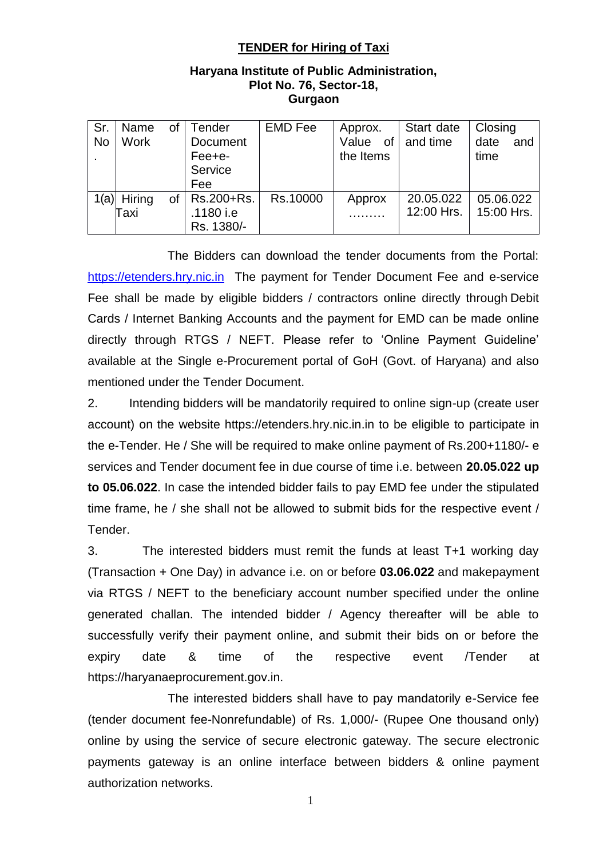### **TENDER for Hiring of Taxi**

#### **Haryana Institute of Public Administration, Plot No. 76, Sector-18, Gurgaon**

| Sr.<br><b>No</b> | Name<br><b>Work</b>   | of        | Tender<br>Document<br>Fee+e-<br>Service<br>Fee | <b>EMD Fee</b> | Approx.<br>Value of $ $ and time<br>the Items | Start date              | Closing<br>date<br>and<br>time |
|------------------|-----------------------|-----------|------------------------------------------------|----------------|-----------------------------------------------|-------------------------|--------------------------------|
|                  | $1(a)$ Hiring<br>Taxi | <b>of</b> | Rs.200+Rs.<br>.1180 i.e<br>Rs. 1380/-          | Rs.10000       | Approx                                        | 20.05.022<br>12:00 Hrs. | 05.06.022<br>15:00 Hrs.        |

The Bidders can download the tender documents from the Portal: [https://etenders.hry.nic.in](https://etenders.hry.nic.in/) The payment for Tender Document Fee and e-service Fee shall be made by eligible bidders / contractors online directly through Debit Cards / Internet Banking Accounts and the payment for EMD can be made online directly through RTGS / NEFT. Please refer to 'Online Payment Guideline' available at the Single e-Procurement portal of GoH (Govt. of Haryana) and also mentioned under the Tender Document.

2. Intending bidders will be mandatorily required to online sign-up (create user account) on the website https://etenders.hry.nic.in.in to be eligible to participate in the e-Tender. He / She will be required to make online payment of Rs.200+1180/- e services and Tender document fee in due course of time i.e. between **20.05.022 up to 05.06.022**. In case the intended bidder fails to pay EMD fee under the stipulated time frame, he / she shall not be allowed to submit bids for the respective event / Tender.

3. The interested bidders must remit the funds at least T+1 working day (Transaction + One Day) in advance i.e. on or before **03.06.022** and makepayment via RTGS / NEFT to the beneficiary account number specified under the online generated challan. The intended bidder / Agency thereafter will be able to successfully verify their payment online, and submit their bids on or before the expiry date & time of the respective event /Tender at https://haryanaeprocurement.gov.in.

The interested bidders shall have to pay mandatorily e-Service fee (tender document fee-Nonrefundable) of Rs. 1,000/- (Rupee One thousand only) online by using the service of secure electronic gateway. The secure electronic payments gateway is an online interface between bidders & online payment authorization networks.

1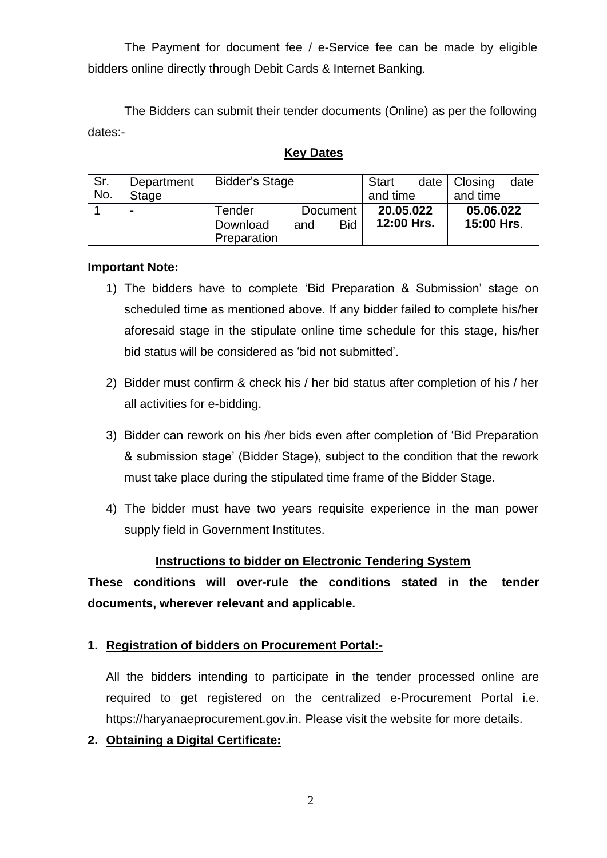The Payment for document fee / e-Service fee can be made by eligible bidders online directly through Debit Cards & Internet Banking.

The Bidders can submit their tender documents (Online) as per the following dates:-

### **Key Dates**

| Sr. | Department   | <b>Bidder's Stage</b>                                              |  |                         | Start |                         | date $ $ Closing | date |
|-----|--------------|--------------------------------------------------------------------|--|-------------------------|-------|-------------------------|------------------|------|
| No. | <b>Stage</b> |                                                                    |  | and time                |       | and time                |                  |      |
|     | -            | Tender<br>Document<br><b>Bid</b><br>Download<br>and<br>Preparation |  | 20.05.022<br>12:00 Hrs. |       | 05.06.022<br>15:00 Hrs. |                  |      |

### **Important Note:**

- 1) The bidders have to complete 'Bid Preparation & Submission' stage on scheduled time as mentioned above. If any bidder failed to complete his/her aforesaid stage in the stipulate online time schedule for this stage, his/her bid status will be considered as 'bid not submitted'.
- 2) Bidder must confirm & check his / her bid status after completion of his / her all activities for e-bidding.
- 3) Bidder can rework on his /her bids even after completion of 'Bid Preparation & submission stage' (Bidder Stage), subject to the condition that the rework must take place during the stipulated time frame of the Bidder Stage.
- 4) The bidder must have two years requisite experience in the man power supply field in Government Institutes.

### **Instructions to bidder on Electronic Tendering System**

**These conditions will over-rule the conditions stated in the tender documents, wherever relevant and applicable.**

### **1. Registration of bidders on Procurement Portal:-**

All the bidders intending to participate in the tender processed online are required to get registered on the centralized e-Procurement Portal i.e. https://haryanaeprocurement.gov.in. Please visit the website for more details.

**2. Obtaining a Digital Certificate:**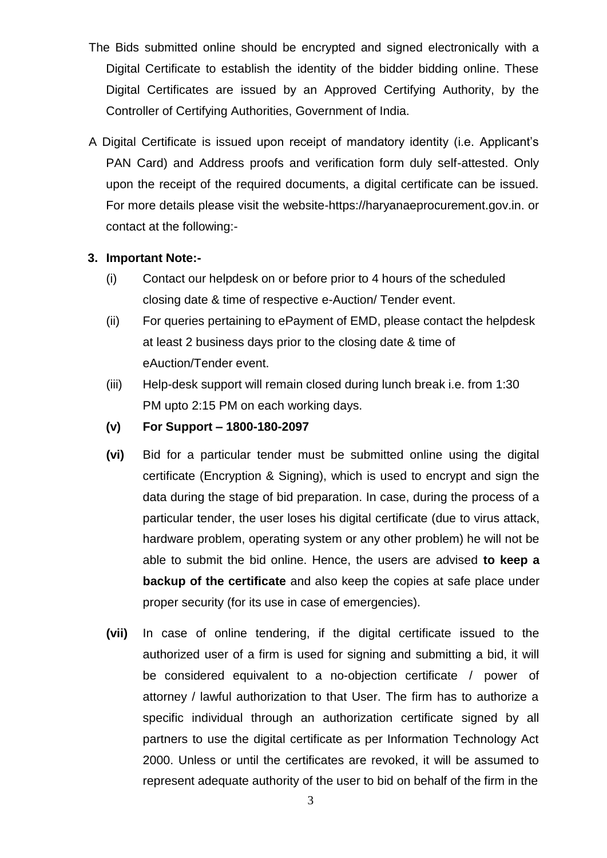- The Bids submitted online should be encrypted and signed electronically with a Digital Certificate to establish the identity of the bidder bidding online. These Digital Certificates are issued by an Approved Certifying Authority, by the Controller of Certifying Authorities, Government of India.
- A Digital Certificate is issued upon receipt of mandatory identity (i.e. Applicant's PAN Card) and Address proofs and verification form duly self-attested. Only upon the receipt of the required documents, a digital certificate can be issued. For more details please visit the website-https://haryanaeprocurement.gov.in. or contact at the following:-

### **3. Important Note:-**

- (i) Contact our helpdesk on or before prior to 4 hours of the scheduled closing date & time of respective e-Auction/ Tender event.
- (ii) For queries pertaining to ePayment of EMD, please contact the helpdesk at least 2 business days prior to the closing date & time of eAuction/Tender event.
- (iii) Help-desk support will remain closed during lunch break i.e. from 1:30 PM upto 2:15 PM on each working days.
- **(v) For Support – 1800-180-2097**
- **(vi)** Bid for a particular tender must be submitted online using the digital certificate (Encryption & Signing), which is used to encrypt and sign the data during the stage of bid preparation. In case, during the process of a particular tender, the user loses his digital certificate (due to virus attack, hardware problem, operating system or any other problem) he will not be able to submit the bid online. Hence, the users are advised **to keep a backup of the certificate** and also keep the copies at safe place under proper security (for its use in case of emergencies).
- **(vii)** In case of online tendering, if the digital certificate issued to the authorized user of a firm is used for signing and submitting a bid, it will be considered equivalent to a no-objection certificate / power of attorney / lawful authorization to that User. The firm has to authorize a specific individual through an authorization certificate signed by all partners to use the digital certificate as per Information Technology Act 2000. Unless or until the certificates are revoked, it will be assumed to represent adequate authority of the user to bid on behalf of the firm in the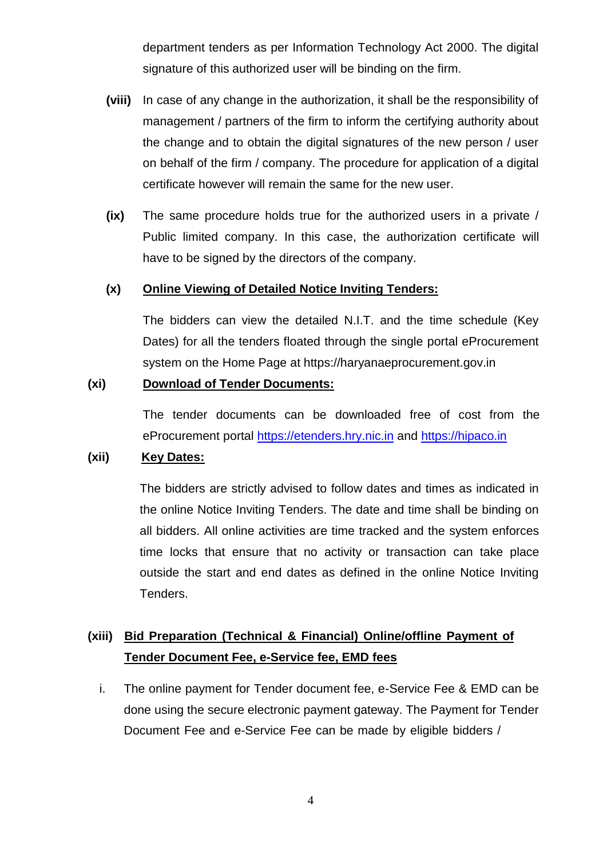department tenders as per Information Technology Act 2000. The digital signature of this authorized user will be binding on the firm.

- **(viii)** In case of any change in the authorization, it shall be the responsibility of management / partners of the firm to inform the certifying authority about the change and to obtain the digital signatures of the new person / user on behalf of the firm / company. The procedure for application of a digital certificate however will remain the same for the new user.
- **(ix)** The same procedure holds true for the authorized users in a private / Public limited company. In this case, the authorization certificate will have to be signed by the directors of the company.

### **(x) Online Viewing of Detailed Notice Inviting Tenders:**

The bidders can view the detailed N.I.T. and the time schedule (Key Dates) for all the tenders floated through the single portal eProcurement system on the Home Page at https://haryanaeprocurement.gov.in

#### **(xi) Download of Tender Documents:**

The tender documents can be downloaded free of cost from the eProcurement portal [https://etenders.hry.nic.in](https://etenders.hry.nic.in/) and [https://hipaco.in](https://hipaco.in/)

### **(xii) Key Dates:**

The bidders are strictly advised to follow dates and times as indicated in the online Notice Inviting Tenders. The date and time shall be binding on all bidders. All online activities are time tracked and the system enforces time locks that ensure that no activity or transaction can take place outside the start and end dates as defined in the online Notice Inviting Tenders.

# **(xiii) Bid Preparation (Technical & Financial) Online/offline Payment of Tender Document Fee, e-Service fee, EMD fees**

i. The online payment for Tender document fee, e-Service Fee & EMD can be done using the secure electronic payment gateway. The Payment for Tender Document Fee and e-Service Fee can be made by eligible bidders /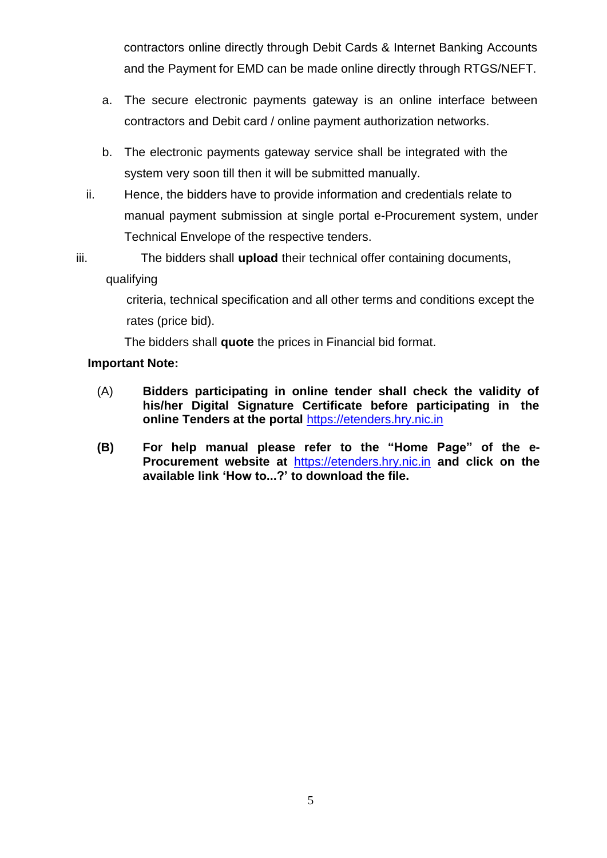contractors online directly through Debit Cards & Internet Banking Accounts and the Payment for EMD can be made online directly through RTGS/NEFT.

- a. The secure electronic payments gateway is an online interface between contractors and Debit card / online payment authorization networks.
- b. The electronic payments gateway service shall be integrated with the system very soon till then it will be submitted manually.
- ii. Hence, the bidders have to provide information and credentials relate to manual payment submission at single portal e-Procurement system, under Technical Envelope of the respective tenders.
- iii. The bidders shall **upload** their technical offer containing documents, qualifying

criteria, technical specification and all other terms and conditions except the rates (price bid).

The bidders shall **quote** the prices in Financial bid format.

## **Important Note:**

- (A) **Bidders participating in online tender shall check the validity of his/her Digital Signature Certificate before participating in the online Tenders at the portal** [https://etenders.hry.nic.in](https://etenders.hry.nic.in/)
- **(B) For help manual please refer to the "Home Page" of the e-Procurement website at** [https://etenders.hry.nic.in](https://etenders.hry.nic.in/) **and click on the available link "How to...?" to download the file.**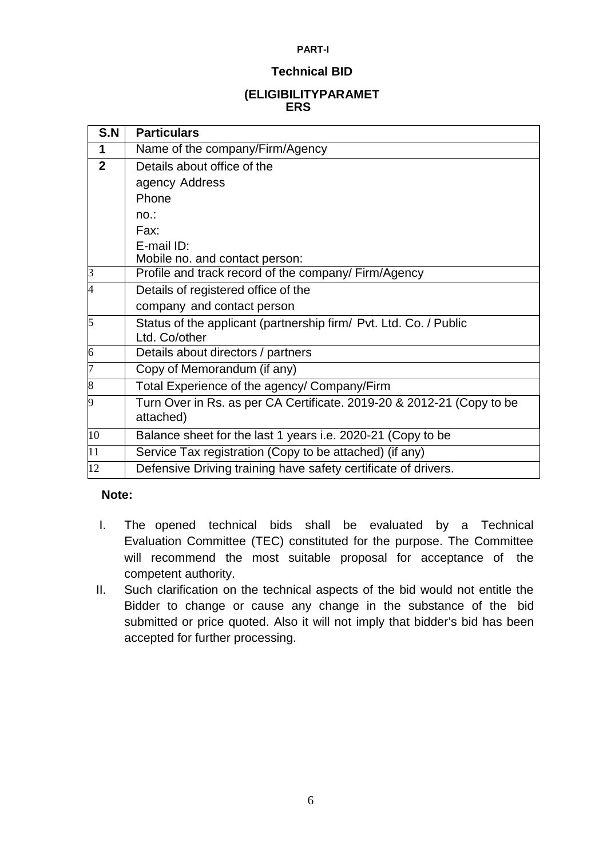#### **PART-I**

#### **Technical BID**

### **(ELIGIBILITYPARAMET ERS**

| S.N             | <b>Particulars</b>                                                    |  |  |  |  |  |  |
|-----------------|-----------------------------------------------------------------------|--|--|--|--|--|--|
| 1               | Name of the company/Firm/Agency                                       |  |  |  |  |  |  |
| $\overline{2}$  | Details about office of the                                           |  |  |  |  |  |  |
|                 | agency Address                                                        |  |  |  |  |  |  |
|                 | Phone                                                                 |  |  |  |  |  |  |
|                 | no:                                                                   |  |  |  |  |  |  |
|                 | Fax:                                                                  |  |  |  |  |  |  |
|                 | E-mail ID:                                                            |  |  |  |  |  |  |
|                 | Mobile no. and contact person:                                        |  |  |  |  |  |  |
| $\mathsf B$     | Profile and track record of the company/ Firm/Agency                  |  |  |  |  |  |  |
| 4               | Details of registered office of the                                   |  |  |  |  |  |  |
|                 | company and contact person                                            |  |  |  |  |  |  |
| 5               | Status of the applicant (partnership firm/ Pvt. Ltd. Co. / Public     |  |  |  |  |  |  |
|                 | Ltd. Co/other                                                         |  |  |  |  |  |  |
| $6\overline{6}$ | Details about directors / partners                                    |  |  |  |  |  |  |
| 7               | Copy of Memorandum (if any)                                           |  |  |  |  |  |  |
| 8               | Total Experience of the agency/ Company/Firm                          |  |  |  |  |  |  |
| 9               | Turn Over in Rs. as per CA Certificate. 2019-20 & 2012-21 (Copy to be |  |  |  |  |  |  |
|                 | attached)                                                             |  |  |  |  |  |  |
| 10              | Balance sheet for the last 1 years i.e. 2020-21 (Copy to be           |  |  |  |  |  |  |
| 11              | Service Tax registration (Copy to be attached) (if any)               |  |  |  |  |  |  |
| 12              | Defensive Driving training have safety certificate of drivers.        |  |  |  |  |  |  |

### **Note:**

- I. The opened technical bids shall be evaluated by a Technical Evaluation Committee (TEC) constituted for the purpose. The Committee will recommend the most suitable proposal for acceptance of the competent authority.
- II. Such clarification on the technical aspects of the bid would not entitle the Bidder to change or cause any change in the substance of the bid submitted or price quoted. Also it will not imply that bidder's bid has been accepted for further processing.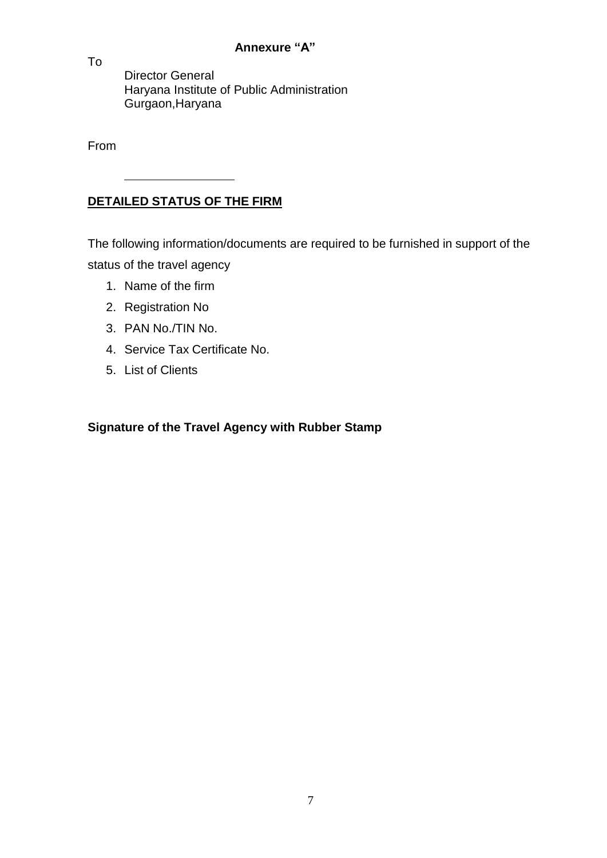### **Annexure "A"**

Director General Haryana Institute of Public Administration Gurgaon,Haryana

From

To

# **DETAILED STATUS OF THE FIRM**

The following information/documents are required to be furnished in support of the status of the travel agency

- 1. Name of the firm
- 2. Registration No
- 3. PAN No./TIN No.
- 4. Service Tax Certificate No.
- 5. List of Clients

## **Signature of the Travel Agency with Rubber Stamp**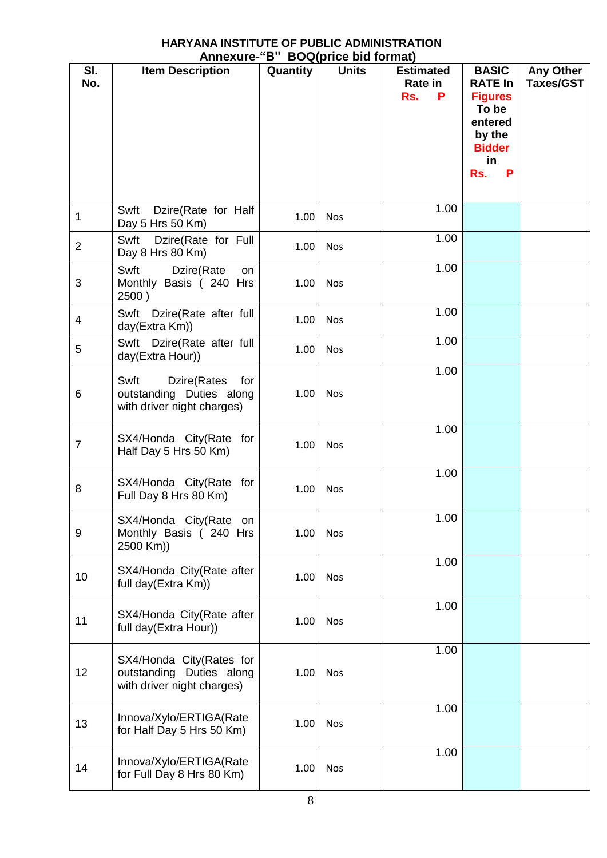#### **HARYANA INSTITUTE OF PUBLIC ADMINISTRATION Annexure-"B" BOQ(price bid format)**

|                |                                                                                      |          | $A$ lilic $A$ ulc $B$ D $B$ Uwilphice bid Iviliiai) |                                                |                                                                                                                   |                                      |
|----------------|--------------------------------------------------------------------------------------|----------|-----------------------------------------------------|------------------------------------------------|-------------------------------------------------------------------------------------------------------------------|--------------------------------------|
| SI.<br>No.     | <b>Item Description</b>                                                              | Quantity | <b>Units</b>                                        | <b>Estimated</b><br><b>Rate in</b><br>Rs.<br>P | <b>BASIC</b><br><b>RATE In</b><br><b>Figures</b><br>To be<br>entered<br>by the<br><b>Bidder</b><br>in<br>Rs.<br>P | <b>Any Other</b><br><b>Taxes/GST</b> |
| 1              | Dzire(Rate for Half<br>Swft<br>Day 5 Hrs 50 Km)                                      | 1.00     | <b>Nos</b>                                          | 1.00                                           |                                                                                                                   |                                      |
| $\overline{2}$ | Swft Dzire(Rate for Full<br>Day 8 Hrs 80 Km)                                         | 1.00     | <b>Nos</b>                                          | 1.00                                           |                                                                                                                   |                                      |
| 3              | Swft<br>Dzire(Rate<br>on<br>Monthly Basis (240 Hrs<br>2500)                          | 1.00     | Nos                                                 | 1.00                                           |                                                                                                                   |                                      |
| 4              | Swft Dzire(Rate after full<br>day(Extra Km))                                         | 1.00     | Nos                                                 | 1.00                                           |                                                                                                                   |                                      |
| 5              | Swft Dzire(Rate after full<br>day(Extra Hour))                                       | 1.00     | <b>Nos</b>                                          | 1.00                                           |                                                                                                                   |                                      |
| 6              | Swft<br>Dzire(Rates<br>for<br>outstanding Duties along<br>with driver night charges) | 1.00     | <b>Nos</b>                                          | 1.00                                           |                                                                                                                   |                                      |
| $\overline{7}$ | SX4/Honda City(Rate for<br>Half Day 5 Hrs 50 Km)                                     | 1.00     | <b>Nos</b>                                          | 1.00                                           |                                                                                                                   |                                      |
| 8              | SX4/Honda City(Rate for<br>Full Day 8 Hrs 80 Km)                                     | 1.00     | <b>Nos</b>                                          | 1.00                                           |                                                                                                                   |                                      |
| 9              | SX4/Honda City(Rate on<br>Monthly Basis (240 Hrs<br>2500 Km))                        | 1.00     | <b>Nos</b>                                          | 1.00                                           |                                                                                                                   |                                      |
| 10             | SX4/Honda City(Rate after<br>full day(Extra Km))                                     | 1.00     | Nos                                                 | 1.00                                           |                                                                                                                   |                                      |
| 11             | SX4/Honda City(Rate after<br>full day(Extra Hour))                                   | 1.00     | Nos                                                 | 1.00                                           |                                                                                                                   |                                      |
| 12             | SX4/Honda City(Rates for<br>outstanding Duties along<br>with driver night charges)   | 1.00     | <b>Nos</b>                                          | 1.00                                           |                                                                                                                   |                                      |
| 13             | Innova/Xylo/ERTIGA(Rate<br>for Half Day 5 Hrs 50 Km)                                 | 1.00     | Nos                                                 | 1.00                                           |                                                                                                                   |                                      |
| 14             | Innova/Xylo/ERTIGA(Rate<br>for Full Day 8 Hrs 80 Km)                                 | 1.00     | Nos                                                 | 1.00                                           |                                                                                                                   |                                      |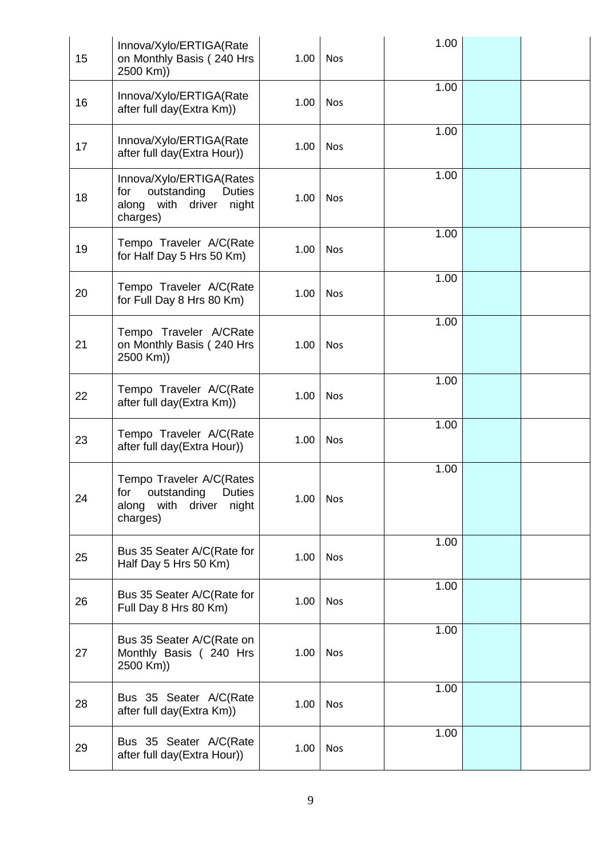| 15 | Innova/Xylo/ERTIGA(Rate<br>on Monthly Basis (240 Hrs<br>2500 Km))                                         | 1.00 | <b>Nos</b> | 1.00 |  |
|----|-----------------------------------------------------------------------------------------------------------|------|------------|------|--|
| 16 | Innova/Xylo/ERTIGA(Rate<br>after full day(Extra Km))                                                      | 1.00 | <b>Nos</b> | 1.00 |  |
| 17 | Innova/Xylo/ERTIGA(Rate<br>after full day(Extra Hour))                                                    | 1.00 | <b>Nos</b> | 1.00 |  |
| 18 | Innova/Xylo/ERTIGA(Rates<br>outstanding<br>for<br><b>Duties</b><br>along with driver<br>night<br>charges) | 1.00 | Nos        | 1.00 |  |
| 19 | Tempo Traveler A/C(Rate<br>for Half Day 5 Hrs 50 Km)                                                      | 1.00 | <b>Nos</b> | 1.00 |  |
| 20 | Tempo Traveler A/C(Rate<br>for Full Day 8 Hrs 80 Km)                                                      | 1.00 | <b>Nos</b> | 1.00 |  |
| 21 | Tempo Traveler A/CRate<br>on Monthly Basis (240 Hrs<br>2500 Km))                                          | 1.00 | Nos        | 1.00 |  |
| 22 | Tempo Traveler A/C(Rate<br>after full day(Extra Km))                                                      | 1.00 | <b>Nos</b> | 1.00 |  |
| 23 | Tempo Traveler A/C(Rate<br>after full day(Extra Hour))                                                    | 1.00 | <b>Nos</b> | 1.00 |  |
| 24 | Tempo Traveler A/C(Rates<br>for outstanding Duties<br>along with<br>driver<br>night<br>charges)           | 1.00 | Nos        | 1.00 |  |
| 25 | Bus 35 Seater A/C(Rate for<br>Half Day 5 Hrs 50 Km)                                                       | 1.00 | Nos        | 1.00 |  |
| 26 | Bus 35 Seater A/C(Rate for<br>Full Day 8 Hrs 80 Km)                                                       | 1.00 | Nos        | 1.00 |  |
| 27 | Bus 35 Seater A/C(Rate on<br>Monthly Basis (240 Hrs<br>2500 Km))                                          | 1.00 | <b>Nos</b> | 1.00 |  |
| 28 | Bus 35 Seater A/C(Rate<br>after full day(Extra Km))                                                       | 1.00 | Nos        | 1.00 |  |
| 29 | Bus 35 Seater A/C(Rate<br>after full day(Extra Hour))                                                     | 1.00 | Nos        | 1.00 |  |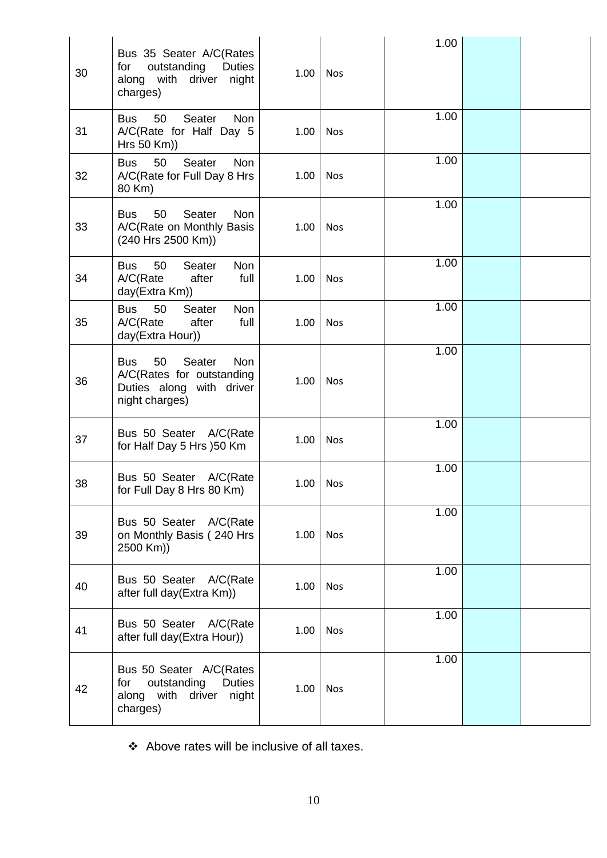| 30 | Bus 35 Seater A/C(Rates<br>outstanding<br>for<br>Duties<br>with driver<br>along<br>night<br>charges)         | 1.00 | <b>Nos</b> | 1.00 |  |
|----|--------------------------------------------------------------------------------------------------------------|------|------------|------|--|
| 31 | Seater<br>50<br>Non<br><b>Bus</b><br>A/C(Rate for Half Day 5<br>Hrs 50 Km))                                  | 1.00 | <b>Nos</b> | 1.00 |  |
| 32 | Seater<br><b>Non</b><br>50<br>Bus<br>A/C(Rate for Full Day 8 Hrs<br>80 Km)                                   | 1.00 | <b>Nos</b> | 1.00 |  |
| 33 | 50<br>Seater<br><b>Bus</b><br><b>Non</b><br>A/C(Rate on Monthly Basis<br>(240 Hrs 2500 Km))                  | 1.00 | <b>Nos</b> | 1.00 |  |
| 34 | 50<br>Seater<br>Non<br><b>Bus</b><br>A/C(Rate)<br>after<br>full<br>day(Extra Km))                            | 1.00 | <b>Nos</b> | 1.00 |  |
| 35 | 50<br><b>Non</b><br><b>Bus</b><br>Seater<br>after<br>full<br>A/C(Rate)<br>day(Extra Hour))                   | 1.00 | <b>Nos</b> | 1.00 |  |
| 36 | 50<br>Seater<br><b>Bus</b><br>Non<br>A/C(Rates for outstanding<br>Duties along with driver<br>night charges) | 1.00 | <b>Nos</b> | 1.00 |  |
| 37 | Bus 50 Seater A/C(Rate<br>for Half Day 5 Hrs )50 Km                                                          | 1.00 | <b>Nos</b> | 1.00 |  |
| 38 | Bus 50 Seater<br>A/C(Rate)<br>for Full Day 8 Hrs 80 Km)                                                      | 1.00 | Nos        | 1.00 |  |
| 39 | Bus 50 Seater A/C(Rate<br>on Monthly Basis (240 Hrs<br>2500 Km))                                             | 1.00 | <b>Nos</b> | 1.00 |  |
| 40 | Bus 50 Seater A/C(Rate<br>after full day(Extra Km))                                                          | 1.00 | <b>Nos</b> | 1.00 |  |
| 41 | Bus 50 Seater A/C(Rate<br>after full day(Extra Hour))                                                        | 1.00 | <b>Nos</b> | 1.00 |  |
| 42 | Bus 50 Seater A/C(Rates<br>outstanding<br><b>Duties</b><br>for<br>with driver<br>along<br>night<br>charges)  | 1.00 | <b>Nos</b> | 1.00 |  |

Above rates will be inclusive of all taxes.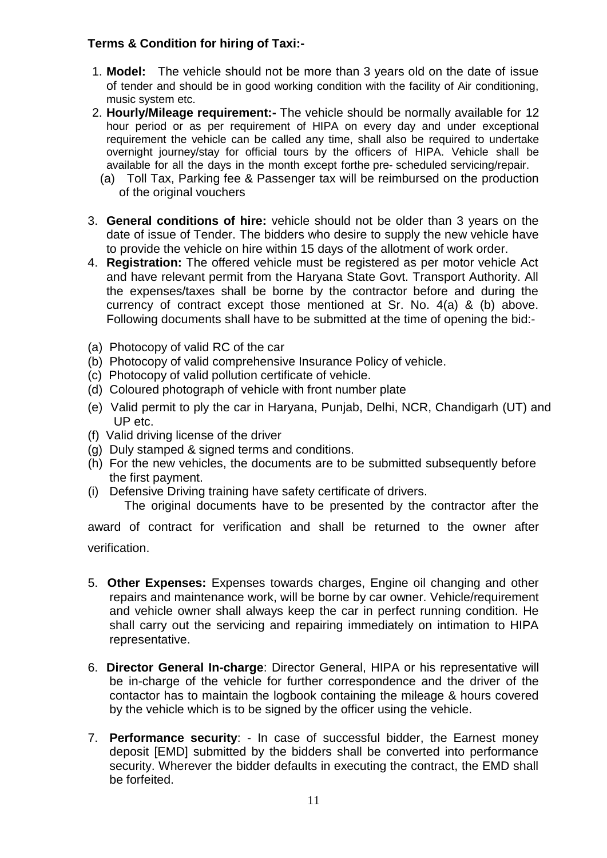### **Terms & Condition for hiring of Taxi:-**

- 1. **Model:** The vehicle should not be more than 3 years old on the date of issue of tender and should be in good working condition with the facility of Air conditioning, music system etc.
- 2. **Hourly/Mileage requirement:-** The vehicle should be normally available for 12 hour period or as per requirement of HIPA on every day and under exceptional requirement the vehicle can be called any time, shall also be required to undertake overnight journey/stay for official tours by the officers of HIPA. Vehicle shall be available for all the days in the month except forthe pre- scheduled servicing/repair.
	- (a) Toll Tax, Parking fee & Passenger tax will be reimbursed on the production of the original vouchers
- 3. **General conditions of hire:** vehicle should not be older than 3 years on the date of issue of Tender. The bidders who desire to supply the new vehicle have to provide the vehicle on hire within 15 days of the allotment of work order.
- 4. **Registration:** The offered vehicle must be registered as per motor vehicle Act and have relevant permit from the Haryana State Govt. Transport Authority. All the expenses/taxes shall be borne by the contractor before and during the currency of contract except those mentioned at Sr. No. 4(a) & (b) above. Following documents shall have to be submitted at the time of opening the bid:-
- (a) Photocopy of valid RC of the car
- (b) Photocopy of valid comprehensive Insurance Policy of vehicle.
- (c) Photocopy of valid pollution certificate of vehicle.
- (d) Coloured photograph of vehicle with front number plate
- (e) Valid permit to ply the car in Haryana, Punjab, Delhi, NCR, Chandigarh (UT) and UP etc.
- (f) Valid driving license of the driver
- (g) Duly stamped & signed terms and conditions.
- (h) For the new vehicles, the documents are to be submitted subsequently before the first payment.
- (i) Defensive Driving training have safety certificate of drivers.

The original documents have to be presented by the contractor after the

award of contract for verification and shall be returned to the owner after verification.

- 5. **Other Expenses:** Expenses towards charges, Engine oil changing and other repairs and maintenance work, will be borne by car owner. Vehicle/requirement and vehicle owner shall always keep the car in perfect running condition. He shall carry out the servicing and repairing immediately on intimation to HIPA representative.
- 6. **Director General In-charge**: Director General, HIPA or his representative will be in-charge of the vehicle for further correspondence and the driver of the contactor has to maintain the logbook containing the mileage & hours covered by the vehicle which is to be signed by the officer using the vehicle.
- 7. **Performance security**: In case of successful bidder, the Earnest money deposit [EMD] submitted by the bidders shall be converted into performance security. Wherever the bidder defaults in executing the contract, the EMD shall be forfeited.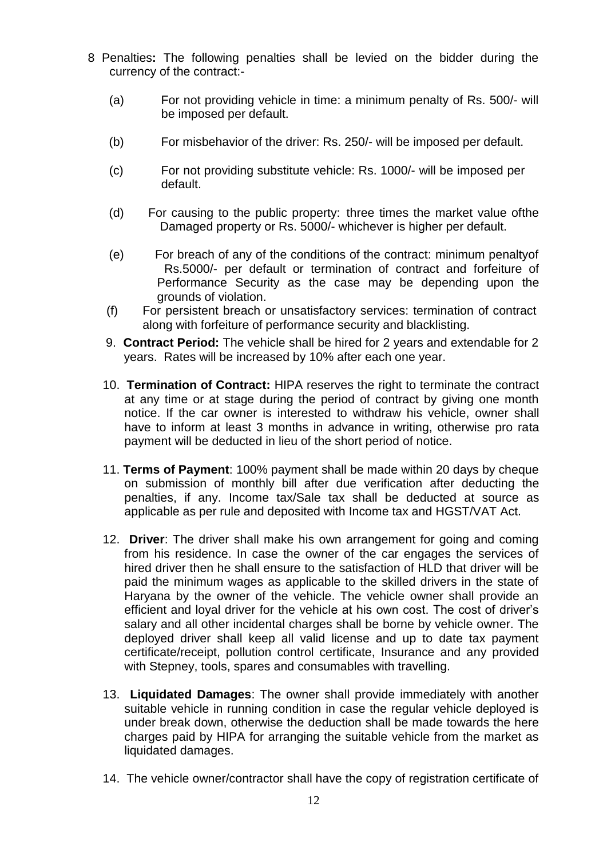- 8 Penalties**:** The following penalties shall be levied on the bidder during the currency of the contract:-
	- (a) For not providing vehicle in time: a minimum penalty of Rs. 500/- will be imposed per default.
	- (b) For misbehavior of the driver: Rs. 250/- will be imposed per default.
	- (c) For not providing substitute vehicle: Rs. 1000/- will be imposed per default.
	- (d) For causing to the public property: three times the market value ofthe Damaged property or Rs. 5000/- whichever is higher per default.
	- (e) For breach of any of the conditions of the contract: minimum penaltyof Rs.5000/- per default or termination of contract and forfeiture of Performance Security as the case may be depending upon the grounds of violation.
	- (f) For persistent breach or unsatisfactory services: termination of contract along with forfeiture of performance security and blacklisting.
	- 9. **Contract Period:** The vehicle shall be hired for 2 years and extendable for 2 years. Rates will be increased by 10% after each one year.
	- 10. **Termination of Contract:** HIPA reserves the right to terminate the contract at any time or at stage during the period of contract by giving one month notice. If the car owner is interested to withdraw his vehicle, owner shall have to inform at least 3 months in advance in writing, otherwise pro rata payment will be deducted in lieu of the short period of notice.
	- 11. **Terms of Payment**: 100% payment shall be made within 20 days by cheque on submission of monthly bill after due verification after deducting the penalties, if any. Income tax/Sale tax shall be deducted at source as applicable as per rule and deposited with Income tax and HGST/VAT Act.
	- 12. **Driver**: The driver shall make his own arrangement for going and coming from his residence. In case the owner of the car engages the services of hired driver then he shall ensure to the satisfaction of HLD that driver will be paid the minimum wages as applicable to the skilled drivers in the state of Haryana by the owner of the vehicle. The vehicle owner shall provide an efficient and loyal driver for the vehicle at his own cost. The cost of driver's salary and all other incidental charges shall be borne by vehicle owner. The deployed driver shall keep all valid license and up to date tax payment certificate/receipt, pollution control certificate, Insurance and any provided with Stepney, tools, spares and consumables with travelling.
	- 13. **Liquidated Damages**: The owner shall provide immediately with another suitable vehicle in running condition in case the regular vehicle deployed is under break down, otherwise the deduction shall be made towards the here charges paid by HIPA for arranging the suitable vehicle from the market as liquidated damages.
	- 14. The vehicle owner/contractor shall have the copy of registration certificate of